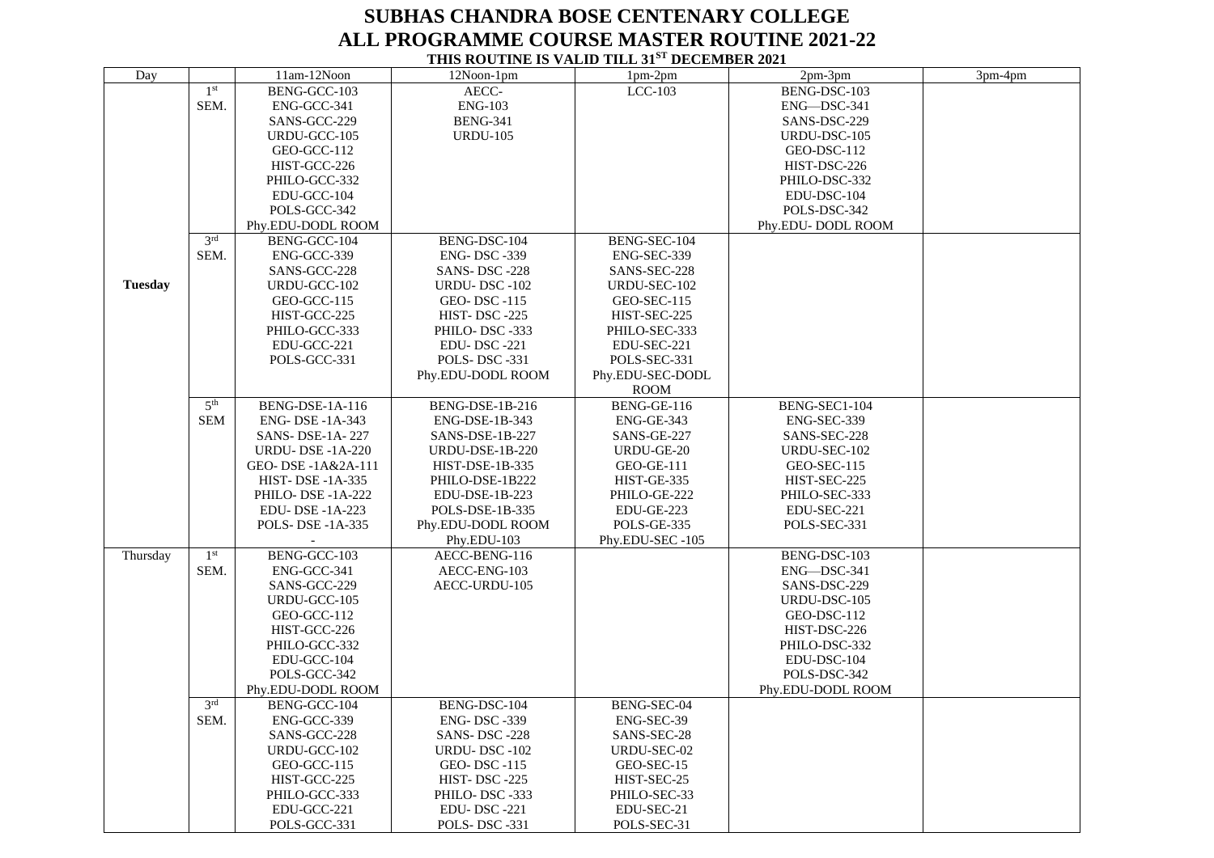## **SUBHAS CHANDRA BOSE CENTENARY COLLEGE ALL PROGRAMME COURSE MASTER ROUTINE 2021-22 THIS ROUTINE IS VALID TILL 31ST DECEMBER 2021**

| Day            |                 | 11am-12Noon            | 12Noon-1pm             | 1pm-2pm           | 2pm-3pm           | 3pm-4pm |
|----------------|-----------------|------------------------|------------------------|-------------------|-------------------|---------|
|                | 1 <sup>st</sup> | BENG-GCC-103           | AECC-                  | LCC-103           | BENG-DSC-103      |         |
|                | SEM.            | ENG-GCC-341            | <b>ENG-103</b>         |                   | ENG-DSC-341       |         |
|                |                 |                        |                        |                   |                   |         |
|                |                 | SANS-GCC-229           | <b>BENG-341</b>        |                   | SANS-DSC-229      |         |
|                |                 | URDU-GCC-105           | <b>URDU-105</b>        |                   | URDU-DSC-105      |         |
|                |                 | GEO-GCC-112            |                        |                   | GEO-DSC-112       |         |
|                |                 | HIST-GCC-226           |                        |                   | HIST-DSC-226      |         |
|                |                 | PHILO-GCC-332          |                        |                   | PHILO-DSC-332     |         |
|                |                 | EDU-GCC-104            |                        |                   | EDU-DSC-104       |         |
|                |                 | POLS-GCC-342           |                        |                   | POLS-DSC-342      |         |
|                |                 | Phy.EDU-DODL ROOM      |                        |                   | Phy.EDU-DODL ROOM |         |
|                |                 |                        |                        |                   |                   |         |
|                | 3 <sup>rd</sup> | BENG-GCC-104           | BENG-DSC-104           | BENG-SEC-104      |                   |         |
|                | SEM.            | ENG-GCC-339            | <b>ENG-DSC-339</b>     | ENG-SEC-339       |                   |         |
|                |                 | SANS-GCC-228           | SANS-DSC-228           | SANS-SEC-228      |                   |         |
| <b>Tuesday</b> |                 | URDU-GCC-102           | URDU-DSC-102           | URDU-SEC-102      |                   |         |
|                |                 | GEO-GCC-115            | GEO-DSC-115            | GEO-SEC-115       |                   |         |
|                |                 | HIST-GCC-225           | HIST-DSC-225           | HIST-SEC-225      |                   |         |
|                |                 | PHILO-GCC-333          | PHILO-DSC-333          | PHILO-SEC-333     |                   |         |
|                |                 |                        |                        |                   |                   |         |
|                |                 | EDU-GCC-221            | EDU-DSC-221            | EDU-SEC-221       |                   |         |
|                |                 | POLS-GCC-331           | POLS-DSC-331           | POLS-SEC-331      |                   |         |
|                |                 |                        | Phy.EDU-DODL ROOM      | Phy.EDU-SEC-DODL  |                   |         |
|                |                 |                        |                        | <b>ROOM</b>       |                   |         |
|                | 5 <sup>th</sup> | BENG-DSE-1A-116        | BENG-DSE-1B-216        | BENG-GE-116       | BENG-SEC1-104     |         |
|                | <b>SEM</b>      | ENG- DSE -1A-343       | ENG-DSE-1B-343         | ENG-GE-343        | ENG-SEC-339       |         |
|                |                 | SANS-DSE-1A-227        | SANS-DSE-1B-227        | SANS-GE-227       | SANS-SEC-228      |         |
|                |                 | <b>URDU-DSE-1A-220</b> | <b>URDU-DSE-1B-220</b> | URDU-GE-20        | URDU-SEC-102      |         |
|                |                 |                        |                        | <b>GEO-GE-111</b> |                   |         |
|                |                 | GEO- DSE-1A&2A-111     | <b>HIST-DSE-1B-335</b> |                   | GEO-SEC-115       |         |
|                |                 | <b>HIST-DSE-1A-335</b> | PHILO-DSE-1B222        | HIST-GE-335       | HIST-SEC-225      |         |
|                |                 | PHILO-DSE-1A-222       | EDU-DSE-1B-223         | PHILO-GE-222      | PHILO-SEC-333     |         |
|                |                 | EDU-DSE-1A-223         | POLS-DSE-1B-335        | EDU-GE-223        | EDU-SEC-221       |         |
|                |                 | POLS- DSE -1A-335      | Phy.EDU-DODL ROOM      | POLS-GE-335       | POLS-SEC-331      |         |
|                |                 |                        | Phy.EDU-103            | Phy.EDU-SEC-105   |                   |         |
| Thursday       | 1 <sup>st</sup> | BENG-GCC-103           | AECC-BENG-116          |                   | BENG-DSC-103      |         |
|                | SEM.            | ENG-GCC-341            | AECC-ENG-103           |                   | ENG-DSC-341       |         |
|                |                 | SANS-GCC-229           | AECC-URDU-105          |                   | SANS-DSC-229      |         |
|                |                 | URDU-GCC-105           |                        |                   | URDU-DSC-105      |         |
|                |                 |                        |                        |                   |                   |         |
|                |                 | GEO-GCC-112            |                        |                   | GEO-DSC-112       |         |
|                |                 | HIST-GCC-226           |                        |                   | HIST-DSC-226      |         |
|                |                 | PHILO-GCC-332          |                        |                   | PHILO-DSC-332     |         |
|                |                 | EDU-GCC-104            |                        |                   | EDU-DSC-104       |         |
|                |                 | POLS-GCC-342           |                        |                   | POLS-DSC-342      |         |
|                |                 | Phy.EDU-DODL ROOM      |                        |                   | Phy.EDU-DODL ROOM |         |
|                | 3rd             | BENG-GCC-104           | BENG-DSC-104           | BENG-SEC-04       |                   |         |
|                | SEM.            | ENG-GCC-339            | <b>ENG-DSC-339</b>     | ENG-SEC-39        |                   |         |
|                |                 | SANS-GCC-228           | SANS-DSC-228           | SANS-SEC-28       |                   |         |
|                |                 | URDU-GCC-102           | URDU-DSC-102           | URDU-SEC-02       |                   |         |
|                |                 |                        |                        |                   |                   |         |
|                |                 | GEO-GCC-115            | <b>GEO-DSC-115</b>     | GEO-SEC-15        |                   |         |
|                |                 | HIST-GCC-225           | HIST-DSC-225           | HIST-SEC-25       |                   |         |
|                |                 | PHILO-GCC-333          | PHILO-DSC-333          | PHILO-SEC-33      |                   |         |
|                |                 | EDU-GCC-221            | <b>EDU-DSC-221</b>     | EDU-SEC-21        |                   |         |
|                |                 | POLS-GCC-331           | POLS-DSC-331           | POLS-SEC-31       |                   |         |